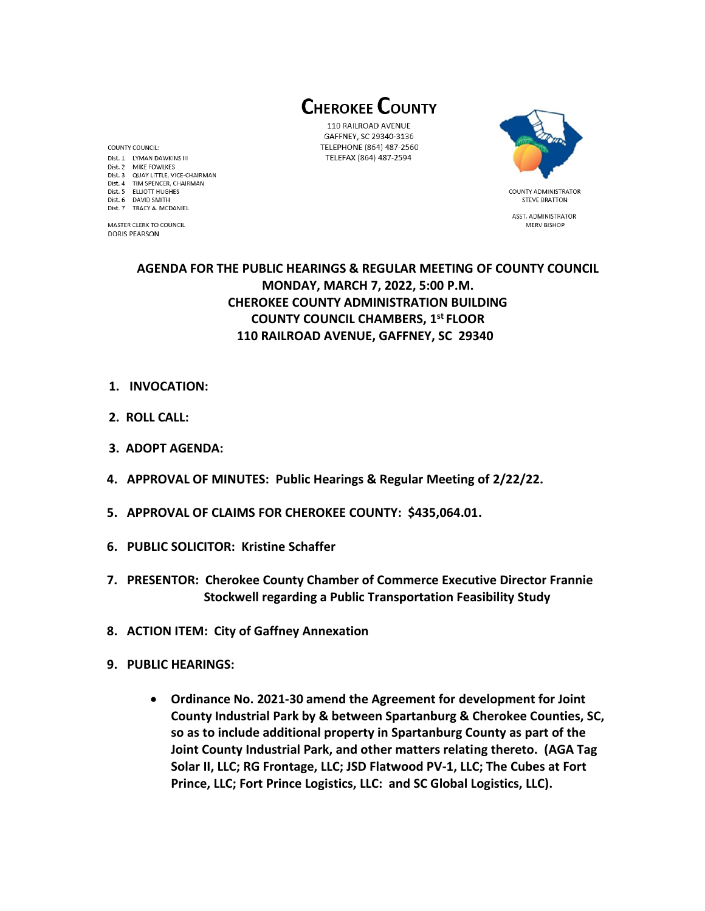**CHEROKEE COUNTY** 

110 RAILROAD AVENUE GAFFNEY, SC 29340-3136 TELEPHONE (864) 487-2560 TELEFAX (864) 487-2594



**STEVE BRATTON** ASST. ADMINISTRATOR MERV BISHOP

# **AGENDA FOR THE PUBLIC HEARINGS & REGULAR MEETING OF COUNTY COUNCIL MONDAY, MARCH 7, 2022, 5:00 P.M. CHEROKEE COUNTY ADMINISTRATION BUILDING COUNTY COUNCIL CHAMBERS, 1 st FLOOR 110 RAILROAD AVENUE, GAFFNEY, SC 29340**

- **1. INVOCATION:**
- **2. ROLL CALL:**

COUNTY COUNCIL: Dist. 1 LYMAN DAWKINS III

Dist. 2 MIKE FOWLKES Dist. 3 QUAY LITTLE, VICE-CHAIRMAN Dist. 4 TIM SPENCER, CHAIRMAN Dist. 5 ELLIOTT HUGHES

Dist. 6 DAVID SMITH

**DORIS PEARSON** 

Dist. 7 TRACY A. MCDANIEL

MASTER CLERK TO COUNCIL

- **3. ADOPT AGENDA:**
- **4. APPROVAL OF MINUTES: Public Hearings & Regular Meeting of 2/22/22.**
- **5. APPROVAL OF CLAIMS FOR CHEROKEE COUNTY: \$435,064.01.**
- **6. PUBLIC SOLICITOR: Kristine Schaffer**
- **7. PRESENTOR: Cherokee County Chamber of Commerce Executive Director Frannie Stockwell regarding a Public Transportation Feasibility Study**
- **8. ACTION ITEM: City of Gaffney Annexation**
- **9. PUBLIC HEARINGS:** 
	- **Ordinance No. 2021-30 amend the Agreement for development for Joint County Industrial Park by & between Spartanburg & Cherokee Counties, SC, so as to include additional property in Spartanburg County as part of the Joint County Industrial Park, and other matters relating thereto. (AGA Tag Solar II, LLC; RG Frontage, LLC; JSD Flatwood PV-1, LLC; The Cubes at Fort Prince, LLC; Fort Prince Logistics, LLC: and SC Global Logistics, LLC).**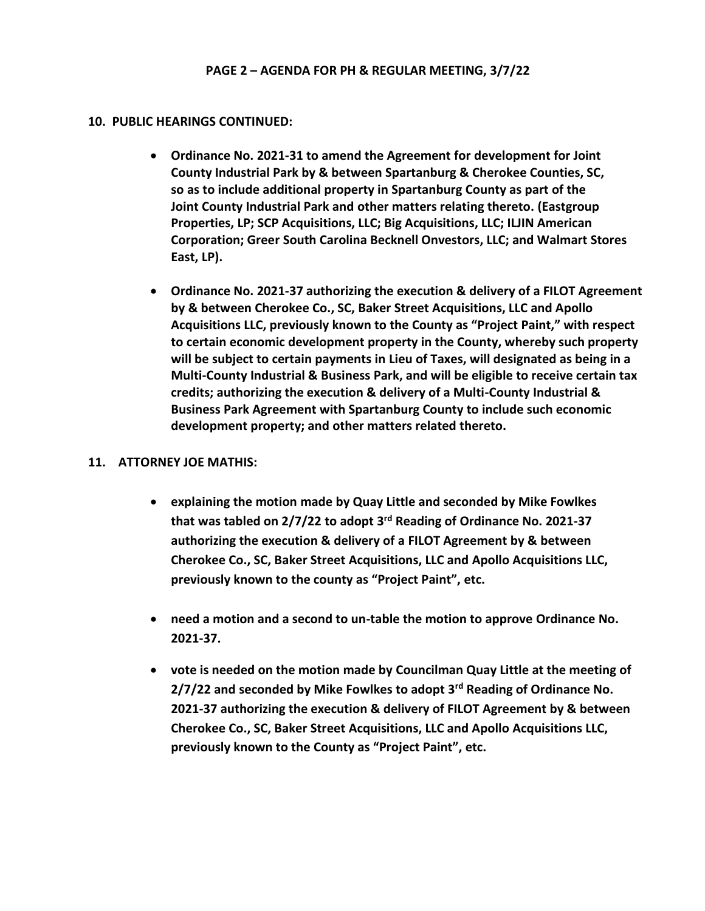### **10. PUBLIC HEARINGS CONTINUED:**

- **Ordinance No. 2021-31 to amend the Agreement for development for Joint County Industrial Park by & between Spartanburg & Cherokee Counties, SC, so as to include additional property in Spartanburg County as part of the Joint County Industrial Park and other matters relating thereto. (Eastgroup Properties, LP; SCP Acquisitions, LLC; Big Acquisitions, LLC; ILJIN American Corporation; Greer South Carolina Becknell Onvestors, LLC; and Walmart Stores East, LP).**
- **Ordinance No. 2021-37 authorizing the execution & delivery of a FILOT Agreement by & between Cherokee Co., SC, Baker Street Acquisitions, LLC and Apollo Acquisitions LLC, previously known to the County as "Project Paint," with respect to certain economic development property in the County, whereby such property will be subject to certain payments in Lieu of Taxes, will designated as being in a Multi-County Industrial & Business Park, and will be eligible to receive certain tax credits; authorizing the execution & delivery of a Multi-County Industrial & Business Park Agreement with Spartanburg County to include such economic development property; and other matters related thereto.**

## **11. ATTORNEY JOE MATHIS:**

- **explaining the motion made by Quay Little and seconded by Mike Fowlkes that was tabled on 2/7/22 to adopt 3 rd Reading of Ordinance No. 2021-37 authorizing the execution & delivery of a FILOT Agreement by & between Cherokee Co., SC, Baker Street Acquisitions, LLC and Apollo Acquisitions LLC, previously known to the county as "Project Paint", etc.**
- **need a motion and a second to un-table the motion to approve Ordinance No. 2021-37.**
- **vote is needed on the motion made by Councilman Quay Little at the meeting of 2/7/22 and seconded by Mike Fowlkes to adopt 3rd Reading of Ordinance No. 2021-37 authorizing the execution & delivery of FILOT Agreement by & between Cherokee Co., SC, Baker Street Acquisitions, LLC and Apollo Acquisitions LLC, previously known to the County as "Project Paint", etc.**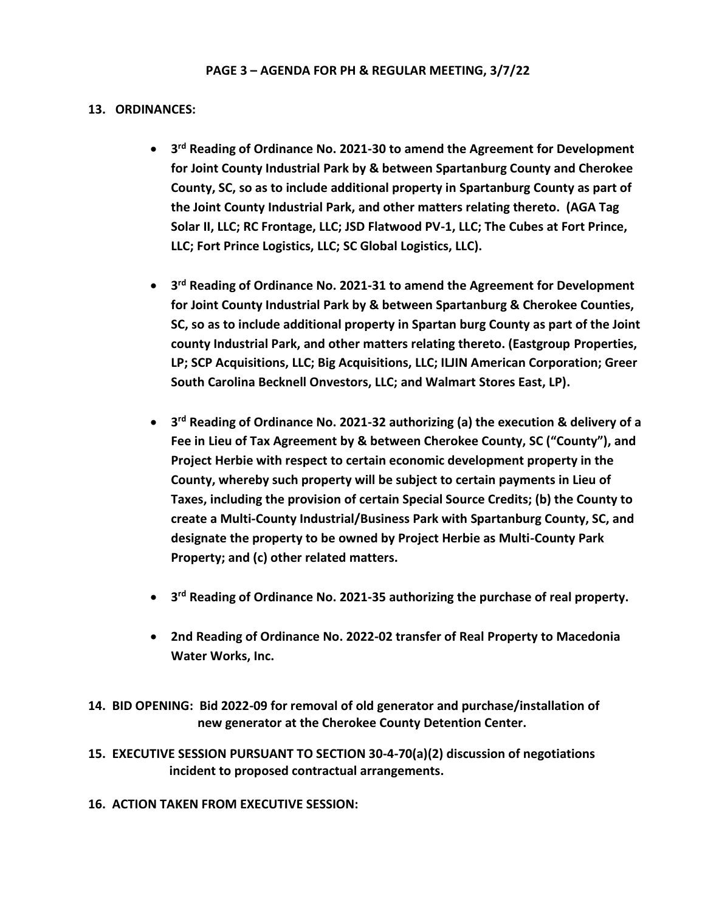#### **13. ORDINANCES:**

- **3 rd Reading of Ordinance No. 2021-30 to amend the Agreement for Development for Joint County Industrial Park by & between Spartanburg County and Cherokee County, SC, so as to include additional property in Spartanburg County as part of the Joint County Industrial Park, and other matters relating thereto. (AGA Tag Solar II, LLC; RC Frontage, LLC; JSD Flatwood PV-1, LLC; The Cubes at Fort Prince, LLC; Fort Prince Logistics, LLC; SC Global Logistics, LLC).**
- **3 rd Reading of Ordinance No. 2021-31 to amend the Agreement for Development for Joint County Industrial Park by & between Spartanburg & Cherokee Counties, SC, so as to include additional property in Spartan burg County as part of the Joint county Industrial Park, and other matters relating thereto. (Eastgroup Properties, LP; SCP Acquisitions, LLC; Big Acquisitions, LLC; ILJIN American Corporation; Greer South Carolina Becknell Onvestors, LLC; and Walmart Stores East, LP).**
- **3 rd Reading of Ordinance No. 2021-32 authorizing (a) the execution & delivery of a Fee in Lieu of Tax Agreement by & between Cherokee County, SC ("County"), and Project Herbie with respect to certain economic development property in the County, whereby such property will be subject to certain payments in Lieu of Taxes, including the provision of certain Special Source Credits; (b) the County to create a Multi-County Industrial/Business Park with Spartanburg County, SC, and designate the property to be owned by Project Herbie as Multi-County Park Property; and (c) other related matters.**
- **3 rd Reading of Ordinance No. 2021-35 authorizing the purchase of real property.**
- **2nd Reading of Ordinance No. 2022-02 transfer of Real Property to Macedonia Water Works, Inc.**

**14. BID OPENING: Bid 2022-09 for removal of old generator and purchase/installation of new generator at the Cherokee County Detention Center.**

- **15. EXECUTIVE SESSION PURSUANT TO SECTION 30-4-70(a)(2) discussion of negotiations incident to proposed contractual arrangements.**
- **16. ACTION TAKEN FROM EXECUTIVE SESSION:**